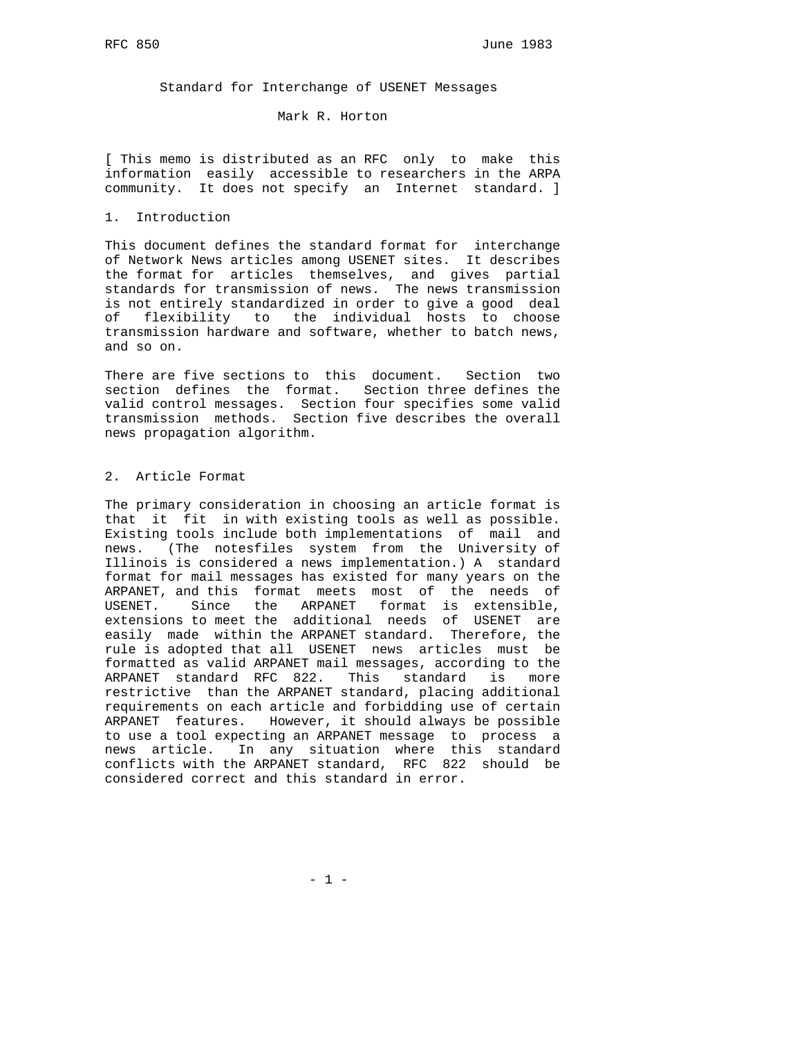Standard for Interchange of USENET Messages

Mark R. Horton

[ This memo is distributed as an RFC only to make this information easily accessible to researchers in the ARPA community. It does not specify an Internet standard. ]

### 1. Introduction

This document defines the standard format for interchange of Network News articles among USENET sites. It describes the format for articles themselves, and gives partial standards for transmission of news. The news transmission is not entirely standardized in order to give a good deal of flexibility to the individual hosts to choose transmission hardware and software, whether to batch news, and so on.

There are five sections to this document. Section two section defines the format. Section three defines the valid control messages. Section four specifies some valid transmission methods. Section five describes the overall news propagation algorithm.

# 2. Article Format

The primary consideration in choosing an article format is that it fit in with existing tools as well as possible. Existing tools include both implementations of mail and news. (The notesfiles system from the University of Illinois is considered a news implementation.) A standard format for mail messages has existed for many years on the ARPANET, and this format meets most of the needs of USENET. Since the ARPANET format is extensible, extensions to meet the additional needs of USENET are easily made within the ARPANET standard. Therefore, the rule is adopted that all USENET news articles must be formatted as valid ARPANET mail messages, according to the ARPANET standard RFC 822. This standard is more restrictive than the ARPANET standard, placing additional requirements on each article and forbidding use of certain ARPANET features. However, it should always be possible to use a tool expecting an ARPANET message to process a news article. In any situation where this standard conflicts with the ARPANET standard, RFC 822 should be considered correct and this standard in error.

 $- 1 -$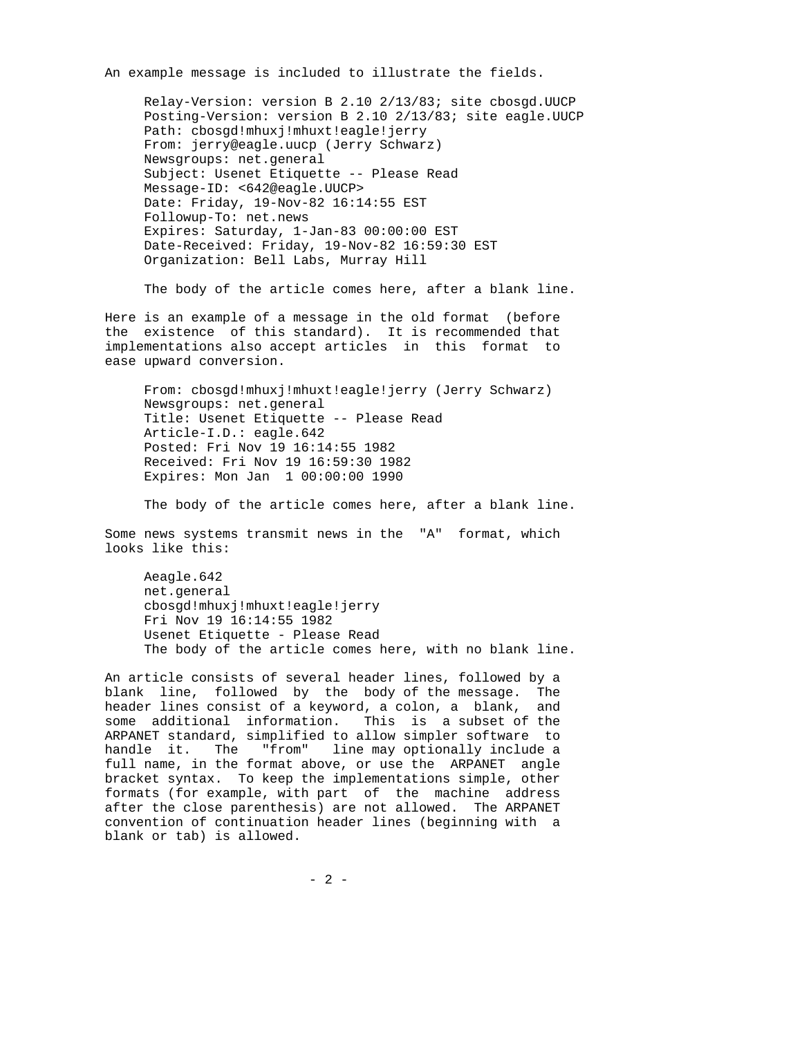An example message is included to illustrate the fields.

 Relay-Version: version B 2.10 2/13/83; site cbosgd.UUCP Posting-Version: version B 2.10 2/13/83; site eagle.UUCP Path: cbosgd!mhuxj!mhuxt!eagle!jerry From: jerry@eagle.uucp (Jerry Schwarz) Newsgroups: net.general Subject: Usenet Etiquette -- Please Read Message-ID: <642@eagle.UUCP> Date: Friday, 19-Nov-82 16:14:55 EST Followup-To: net.news Expires: Saturday, 1-Jan-83 00:00:00 EST Date-Received: Friday, 19-Nov-82 16:59:30 EST Organization: Bell Labs, Murray Hill

The body of the article comes here, after a blank line.

Here is an example of a message in the old format (before the existence of this standard). It is recommended that implementations also accept articles in this format to ease upward conversion.

 From: cbosgd!mhuxj!mhuxt!eagle!jerry (Jerry Schwarz) Newsgroups: net.general Title: Usenet Etiquette -- Please Read Article-I.D.: eagle.642 Posted: Fri Nov 19 16:14:55 1982 Received: Fri Nov 19 16:59:30 1982 Expires: Mon Jan 1 00:00:00 1990

The body of the article comes here, after a blank line.

Some news systems transmit news in the "A" format, which looks like this:

 Aeagle.642 net.general cbosgd!mhuxj!mhuxt!eagle!jerry Fri Nov 19 16:14:55 1982 Usenet Etiquette - Please Read The body of the article comes here, with no blank line.

An article consists of several header lines, followed by a blank line, followed by the body of the message. The header lines consist of a keyword, a colon, a blank, and some additional information. This is a subset of the ARPANET standard, simplified to allow simpler software to handle it. The "from" line may optionally include a full name, in the format above, or use the ARPANET angle bracket syntax. To keep the implementations simple, other formats (for example, with part of the machine address after the close parenthesis) are not allowed. The ARPANET convention of continuation header lines (beginning with a blank or tab) is allowed.

 $- 2 -$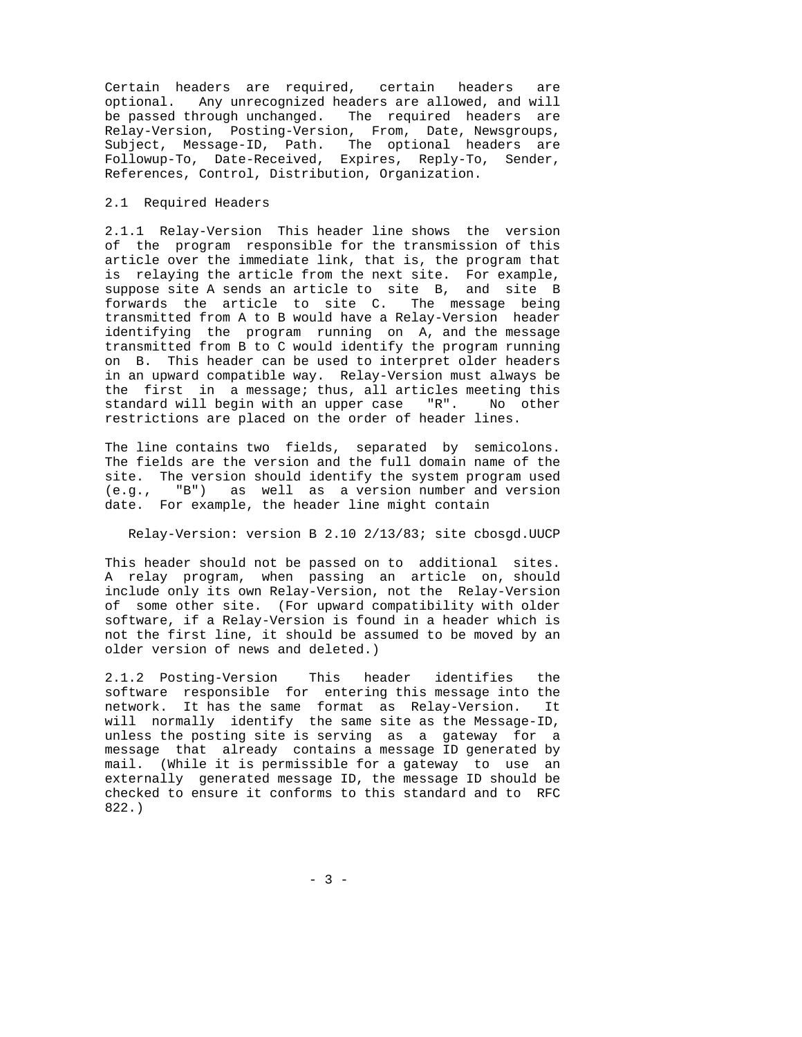Certain headers are required, certain headers are optional. Any unrecognized headers are allowed, and will be passed through unchanged. The required headers are Relay-Version, Posting-Version, From, Date, Newsgroups, Subject, Message-ID, Path. The optional headers are Followup-To, Date-Received, Expires, Reply-To, Sender, References, Control, Distribution, Organization.

### 2.1 Required Headers

2.1.1 Relay-Version This header line shows the version of the program responsible for the transmission of this article over the immediate link, that is, the program that is relaying the article from the next site. For example, suppose site A sends an article to site B, and site B forwards the article to site C. The message being transmitted from A to B would have a Relay-Version header identifying the program running on A, and the message transmitted from B to C would identify the program running on B. This header can be used to interpret older headers in an upward compatible way. Relay-Version must always be the first in a message; thus, all articles meeting this standard will begin with an upper case "R". No other restrictions are placed on the order of header lines.

The line contains two fields, separated by semicolons. The fields are the version and the full domain name of the site. The version should identify the system program used (e.q., "B") as well as a version number and version "B") as well as a version number and version date. For example, the header line might contain

# Relay-Version: version B 2.10 2/13/83; site cbosgd.UUCP

This header should not be passed on to additional sites. A relay program, when passing an article on, should include only its own Relay-Version, not the Relay-Version of some other site. (For upward compatibility with older software, if a Relay-Version is found in a header which is not the first line, it should be assumed to be moved by an older version of news and deleted.)

2.1.2 Posting-Version This header identifies the software responsible for entering this message into the network. It has the same format as Relay-Version. It will normally identify the same site as the Message-ID, unless the posting site is serving as a gateway for a message that already contains a message ID generated by mail. (While it is permissible for a gateway to use an externally generated message ID, the message ID should be checked to ensure it conforms to this standard and to RFC 822.)

- 3 -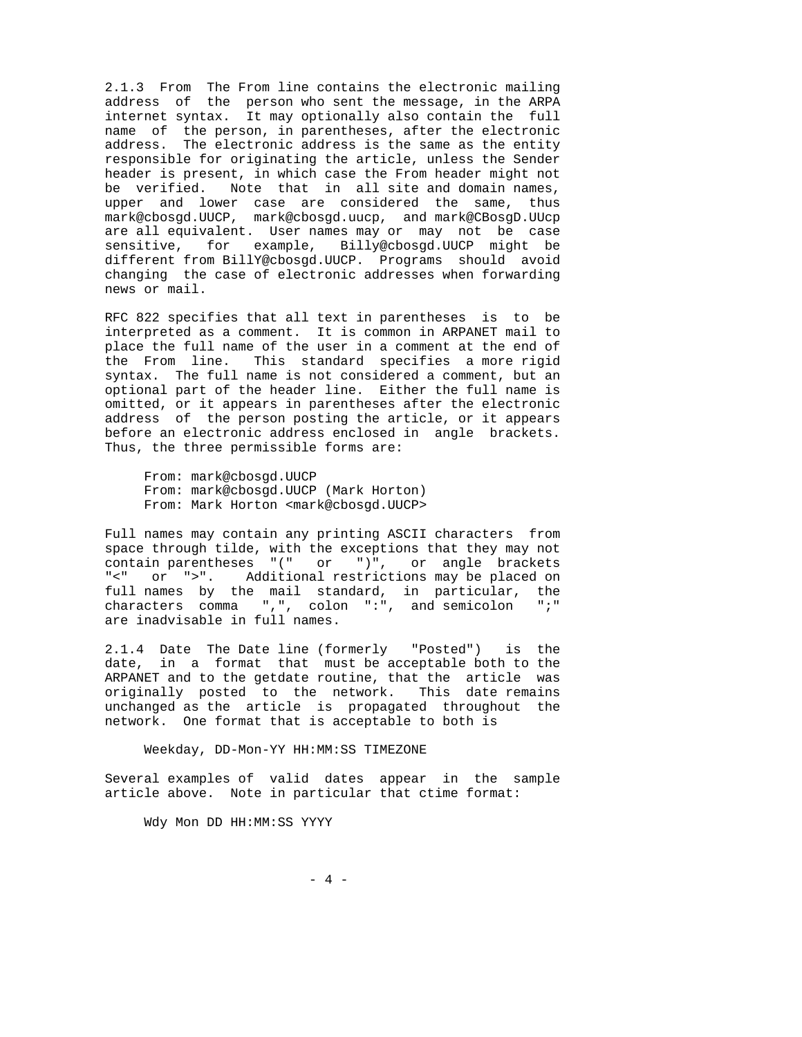2.1.3 From The From line contains the electronic mailing address of the person who sent the message, in the ARPA internet syntax. It may optionally also contain the full name of the person, in parentheses, after the electronic address. The electronic address is the same as the entity responsible for originating the article, unless the Sender header is present, in which case the From header might not be verified. Note that in all site and domain names, upper and lower case are considered the same, thus mark@cbosgd.UUCP, mark@cbosgd.uucp, and mark@CBosgD.UUcp are all equivalent. User names may or may not be case sensitive, for example, Billy@cbosgd.UUCP might be different from BillY@cbosgd.UUCP. Programs should avoid changing the case of electronic addresses when forwarding news or mail.

RFC 822 specifies that all text in parentheses is to be interpreted as a comment. It is common in ARPANET mail to place the full name of the user in a comment at the end of the From line. This standard specifies a more rigid syntax. The full name is not considered a comment, but an optional part of the header line. Either the full name is omitted, or it appears in parentheses after the electronic address of the person posting the article, or it appears before an electronic address enclosed in angle brackets. Thus, the three permissible forms are:

 From: mark@cbosgd.UUCP From: mark@cbosgd.UUCP (Mark Horton) From: Mark Horton <mark@cbosgd.UUCP>

Full names may contain any printing ASCII characters from space through tilde, with the exceptions that they may not contain parentheses "(" or ")", or angle brackets "<" or ">". Additional restrictions may be placed on full names by the mail standard, in particular, the characters comma ",", colon ":", and semicolon ";" are inadvisable in full names.

2.1.4 Date The Date line (formerly "Posted") is the date, in a format that must be acceptable both to the ARPANET and to the getdate routine, that the article was originally posted to the network. This date remains unchanged as the article is propagated throughout the network. One format that is acceptable to both is

Weekday, DD-Mon-YY HH:MM:SS TIMEZONE

Several examples of valid dates appear in the sample article above. Note in particular that ctime format:

Wdy Mon DD HH:MM:SS YYYY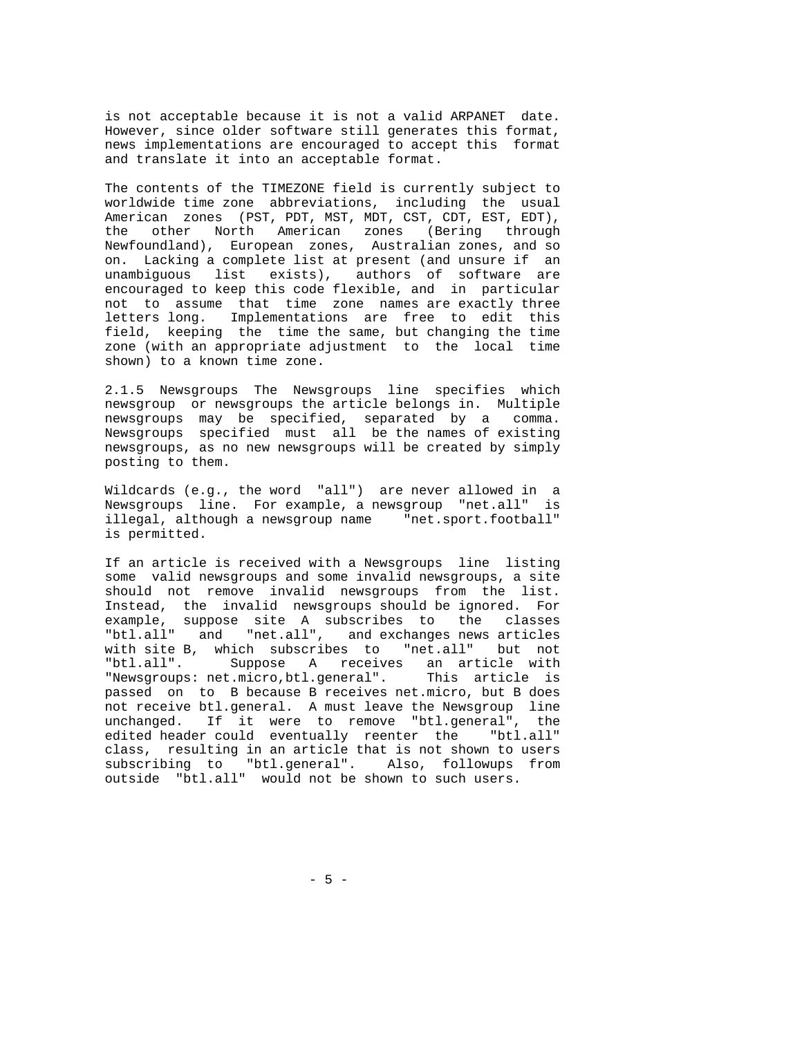is not acceptable because it is not a valid ARPANET date. However, since older software still generates this format, news implementations are encouraged to accept this format and translate it into an acceptable format.

The contents of the TIMEZONE field is currently subject to worldwide time zone abbreviations, including the usual American zones (PST, PDT, MST, MDT, CST, CDT, EST, EDT), the other North American zones (Bering through Newfoundland), European zones, Australian zones, and so on. Lacking a complete list at present (and unsure if an unambiguous list exists), authors of software are encouraged to keep this code flexible, and in particular not to assume that time zone names are exactly three letters long. Implementations are free to edit this field, keeping the time the same, but changing the time zone (with an appropriate adjustment to the local time shown) to a known time zone.

2.1.5 Newsgroups The Newsgroups line specifies which newsgroup or newsgroups the article belongs in. Multiple newsgroups may be specified, separated by a comma. Newsgroups specified must all be the names of existing newsgroups, as no new newsgroups will be created by simply posting to them.

Wildcards (e.g., the word "all") are never allowed in a Newsgroups line. For example, a newsgroup "net.all" is illegal, although a newsgroup name "net.sport.football" is permitted.

If an article is received with a Newsgroups line listing some valid newsgroups and some invalid newsgroups, a site should not remove invalid newsgroups from the list. Instead, the invalid newsgroups should be ignored. For example, suppose site A subscribes to the classes "btl.all" and "net.all", and exchanges news articles with site B, which subscribes to "net.all" but not "btl.all". Suppose A receives an article with "Newsgroups: net.micro,btl.general". This article is passed on to B because B receives net.micro, but B does not receive btl.general. A must leave the Newsgroup line unchanged. If it were to remove "btl.general", the edited header could eventually reenter the "btl.all" class, resulting in an article that is not shown to users subscribing to "btl.general". Also, followups from outside "btl.all" would not be shown to such users.

- 5 -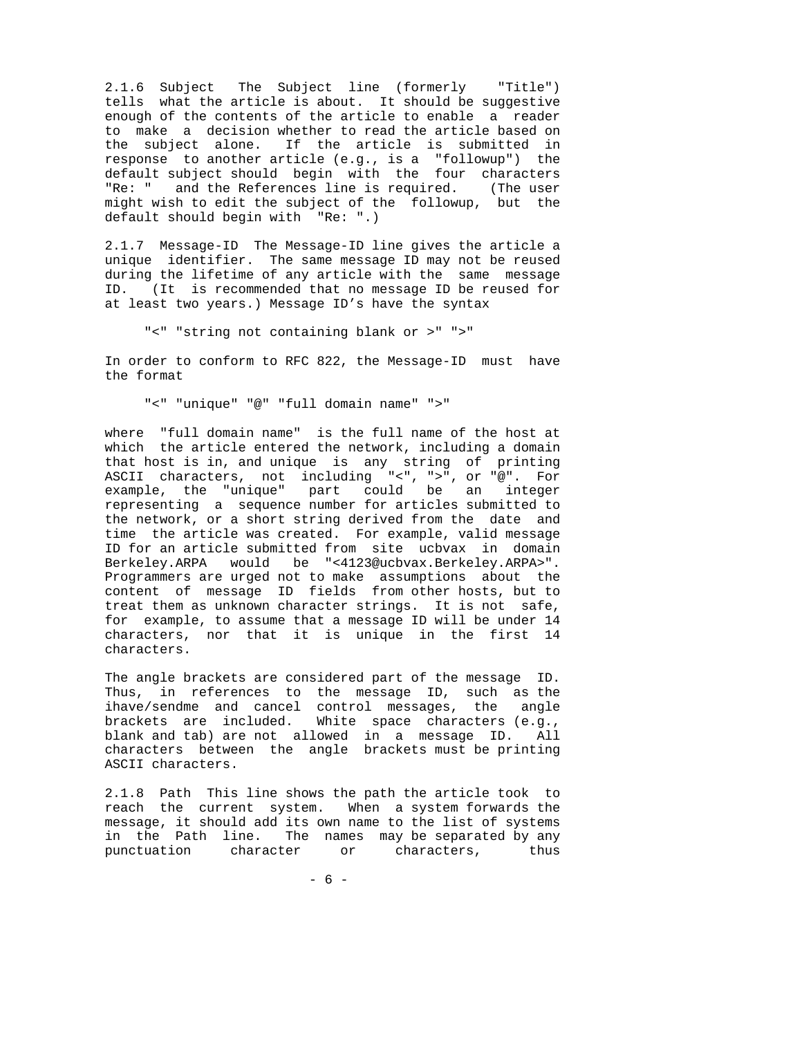2.1.6 Subject The Subject line (formerly "Title") tells what the article is about. It should be suggestive enough of the contents of the article to enable a reader to make a decision whether to read the article based on the subject alone. If the article is submitted in response to another article (e.g., is a "followup") the default subject should begin with the four characters "Re: " and the References line is required. (The user might wish to edit the subject of the followup, but the default should begin with "Re: ".)

2.1.7 Message-ID The Message-ID line gives the article a unique identifier. The same message ID may not be reused during the lifetime of any article with the same message ID. (It is recommended that no message ID be reused for at least two years.) Message ID's have the syntax

"<" "string not containing blank or >" ">"

In order to conform to RFC 822, the Message-ID must have the format

"<" "unique" "@" "full domain name" ">"

where "full domain name" is the full name of the host at which the article entered the network, including a domain that host is in, and unique is any string of printing ASCII characters, not including "<", ">", or "@". For example, the "unique" part could be an integer representing a sequence number for articles submitted to the network, or a short string derived from the date and time the article was created. For example, valid message ID for an article submitted from site ucbvax in domain Berkeley.ARPA would be "<4123@ucbvax.Berkeley.ARPA>". Programmers are urged not to make assumptions about the content of message ID fields from other hosts, but to treat them as unknown character strings. It is not safe, for example, to assume that a message ID will be under 14 characters, nor that it is unique in the first 14 characters.

The angle brackets are considered part of the message ID. Thus, in references to the message ID, such as the ihave/sendme and cancel control messages, the angle brackets are included. White space characters (e.g., blank and tab) are not allowed in a message ID. All characters between the angle brackets must be printing ASCII characters.

2.1.8 Path This line shows the path the article took to reach the current system. When a system forwards the message, it should add its own name to the list of systems in the Path line. The names may be separated by any punctuation character or characters, thus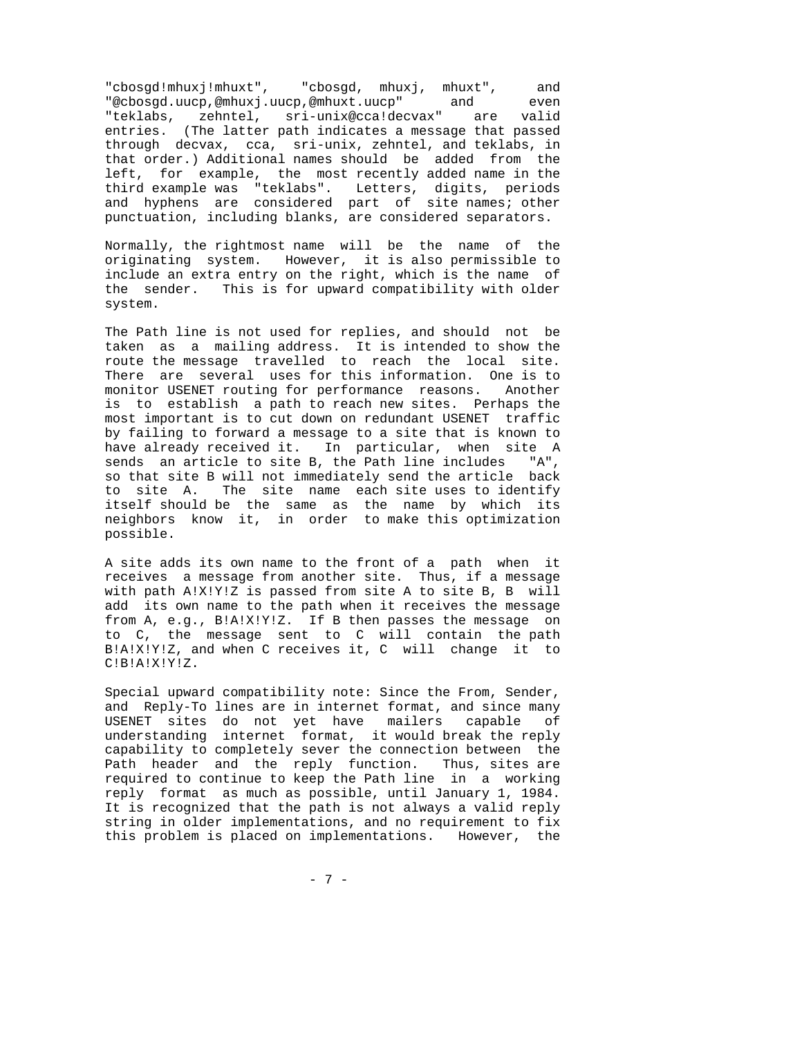"cbosgd!mhuxj!mhuxt", "cbosgd, mhuxj, mhuxt", and "@cbosgd.uucp,@mhuxj.uucp,@mhuxt.uucp" and even "teklabs, zehntel, sri-unix@cca!decvax" are valid entries. (The latter path indicates a message that passed through decvax, cca, sri-unix, zehntel, and teklabs, in that order.) Additional names should be added from the left, for example, the most recently added name in the third example was "teklabs". Letters, digits, periods and hyphens are considered part of site names; other punctuation, including blanks, are considered separators.

Normally, the rightmost name will be the name of the originating system. However, it is also permissible to include an extra entry on the right, which is the name of the sender. This is for upward compatibility with older system.

The Path line is not used for replies, and should not be taken as a mailing address. It is intended to show the route the message travelled to reach the local site. There are several uses for this information. One is to monitor USENET routing for performance reasons. Another is to establish a path to reach new sites. Perhaps the most important is to cut down on redundant USENET traffic by failing to forward a message to a site that is known to have already received it. In particular, when site A sends an article to site B, the Path line includes "A", so that site B will not immediately send the article back to site A. The site name each site uses to identify itself should be the same as the name by which its neighbors know it, in order to make this optimization possible.

A site adds its own name to the front of a path when it receives a message from another site. Thus, if a message with path A!X!Y!Z is passed from site A to site B, B will add its own name to the path when it receives the message from A, e.g., B!A!X!Y!Z. If B then passes the message on to C, the message sent to C will contain the path B!A!X!Y!Z, and when C receives it, C will change it to C!B!A!X!Y!Z.

Special upward compatibility note: Since the From, Sender, and Reply-To lines are in internet format, and since many USENET sites do not yet have mailers capable of understanding internet format, it would break the reply capability to completely sever the connection between the Path header and the reply function. Thus, sites are required to continue to keep the Path line in a working reply format as much as possible, until January 1, 1984. It is recognized that the path is not always a valid reply string in older implementations, and no requirement to fix this problem is placed on implementations. However, the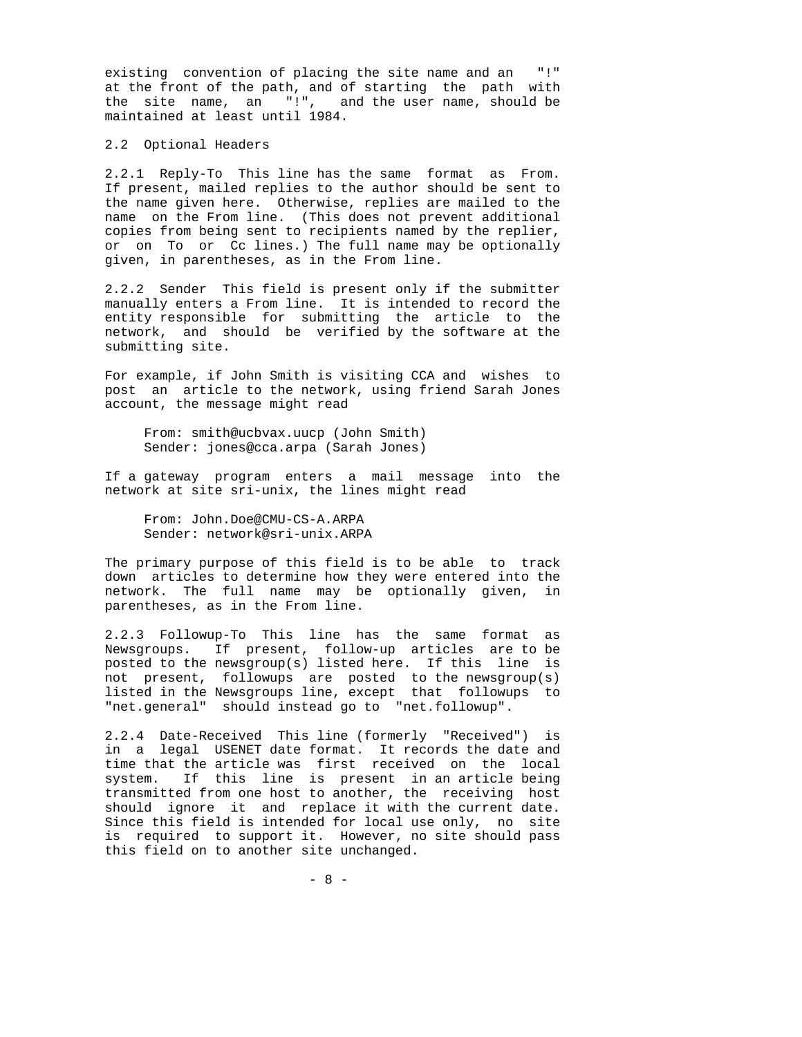existing convention of placing the site name and an "!" at the front of the path, and of starting the path with the site name, an "!", and the user name, should be maintained at least until 1984.

### 2.2 Optional Headers

2.2.1 Reply-To This line has the same format as From. If present, mailed replies to the author should be sent to the name given here. Otherwise, replies are mailed to the name on the From line. (This does not prevent additional copies from being sent to recipients named by the replier, or on To or Cc lines.) The full name may be optionally given, in parentheses, as in the From line.

2.2.2 Sender This field is present only if the submitter manually enters a From line. It is intended to record the entity responsible for submitting the article to the network, and should be verified by the software at the submitting site.

For example, if John Smith is visiting CCA and wishes to post an article to the network, using friend Sarah Jones account, the message might read

 From: smith@ucbvax.uucp (John Smith) Sender: jones@cca.arpa (Sarah Jones)

If a gateway program enters a mail message into the network at site sri-unix, the lines might read

 From: John.Doe@CMU-CS-A.ARPA Sender: network@sri-unix.ARPA

The primary purpose of this field is to be able to track down articles to determine how they were entered into the network. The full name may be optionally given, in parentheses, as in the From line.

2.2.3 Followup-To This line has the same format as Newsgroups. If present, follow-up articles are to be posted to the newsgroup(s) listed here. If this line is not present, followups are posted to the newsgroup(s) listed in the Newsgroups line, except that followups to "net.general" should instead go to "net.followup".

2.2.4 Date-Received This line (formerly "Received") is in a legal USENET date format. It records the date and time that the article was first received on the local system. If this line is present in an article being transmitted from one host to another, the receiving host should ignore it and replace it with the current date. Since this field is intended for local use only, no site is required to support it. However, no site should pass this field on to another site unchanged.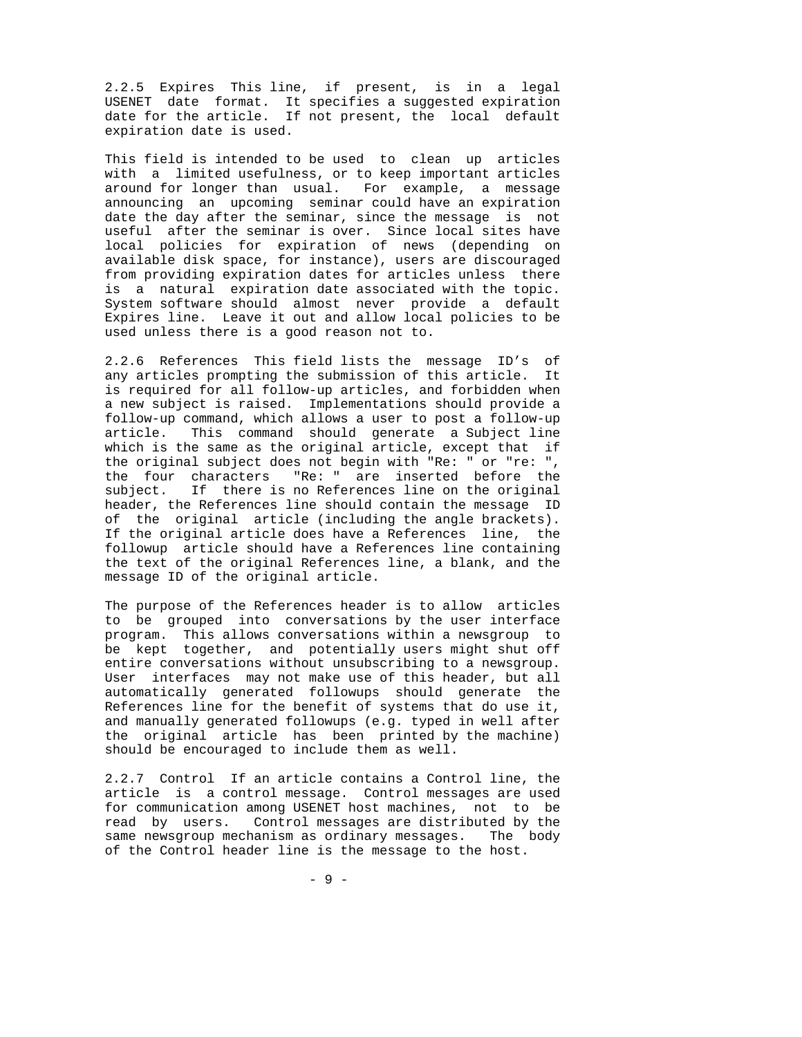2.2.5 Expires This line, if present, is in a legal USENET date format. It specifies a suggested expiration date for the article. If not present, the local default expiration date is used.

This field is intended to be used to clean up articles with a limited usefulness, or to keep important articles around for longer than usual. For example, a message announcing an upcoming seminar could have an expiration date the day after the seminar, since the message is not useful after the seminar is over. Since local sites have local policies for expiration of news (depending on available disk space, for instance), users are discouraged from providing expiration dates for articles unless there is a natural expiration date associated with the topic. System software should almost never provide a default Expires line. Leave it out and allow local policies to be used unless there is a good reason not to.

2.2.6 References This field lists the message ID's of any articles prompting the submission of this article. It is required for all follow-up articles, and forbidden when a new subject is raised. Implementations should provide a follow-up command, which allows a user to post a follow-up article. This command should generate a Subject line which is the same as the original article, except that if the original subject does not begin with "Re: " or "re: ", the four characters "Re: " are inserted before the subject. If there is no References line on the original header, the References line should contain the message ID of the original article (including the angle brackets). If the original article does have a References line, the followup article should have a References line containing the text of the original References line, a blank, and the message ID of the original article.

The purpose of the References header is to allow articles to be grouped into conversations by the user interface program. This allows conversations within a newsgroup to be kept together, and potentially users might shut off entire conversations without unsubscribing to a newsgroup. User interfaces may not make use of this header, but all automatically generated followups should generate the References line for the benefit of systems that do use it, and manually generated followups (e.g. typed in well after the original article has been printed by the machine) should be encouraged to include them as well.

2.2.7 Control If an article contains a Control line, the article is a control message. Control messages are used for communication among USENET host machines, not to be read by users. Control messages are distributed by the same newsgroup mechanism as ordinary messages. The body of the Control header line is the message to the host.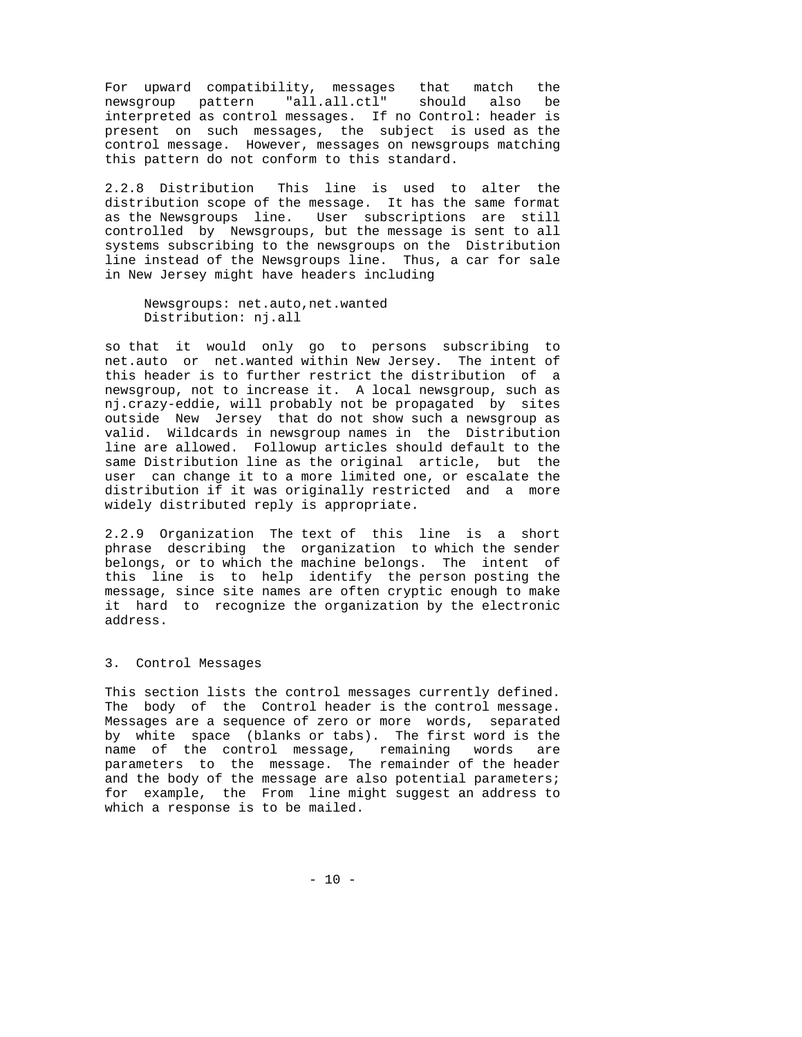For upward compatibility, messages that match the newsgroup pattern "all.all.ctl" should also be interpreted as control messages. If no Control: header is present on such messages, the subject is used as the control message. However, messages on newsgroups matching this pattern do not conform to this standard.

2.2.8 Distribution This line is used to alter the distribution scope of the message. It has the same format as the Newsgroups line. User subscriptions are still controlled by Newsgroups, but the message is sent to all systems subscribing to the newsgroups on the Distribution line instead of the Newsgroups line. Thus, a car for sale in New Jersey might have headers including

 Newsgroups: net.auto,net.wanted Distribution: nj.all

so that it would only go to persons subscribing to net.auto or net.wanted within New Jersey. The intent of this header is to further restrict the distribution of a newsgroup, not to increase it. A local newsgroup, such as nj.crazy-eddie, will probably not be propagated by sites outside New Jersey that do not show such a newsgroup as valid. Wildcards in newsgroup names in the Distribution line are allowed. Followup articles should default to the same Distribution line as the original article, but the user can change it to a more limited one, or escalate the distribution if it was originally restricted and a more widely distributed reply is appropriate.

2.2.9 Organization The text of this line is a short phrase describing the organization to which the sender belongs, or to which the machine belongs. The intent of this line is to help identify the person posting the message, since site names are often cryptic enough to make it hard to recognize the organization by the electronic address.

## 3. Control Messages

This section lists the control messages currently defined. The body of the Control header is the control message. Messages are a sequence of zero or more words, separated by white space (blanks or tabs). The first word is the name of the control message, remaining words are parameters to the message. The remainder of the header and the body of the message are also potential parameters; for example, the From line might suggest an address to which a response is to be mailed.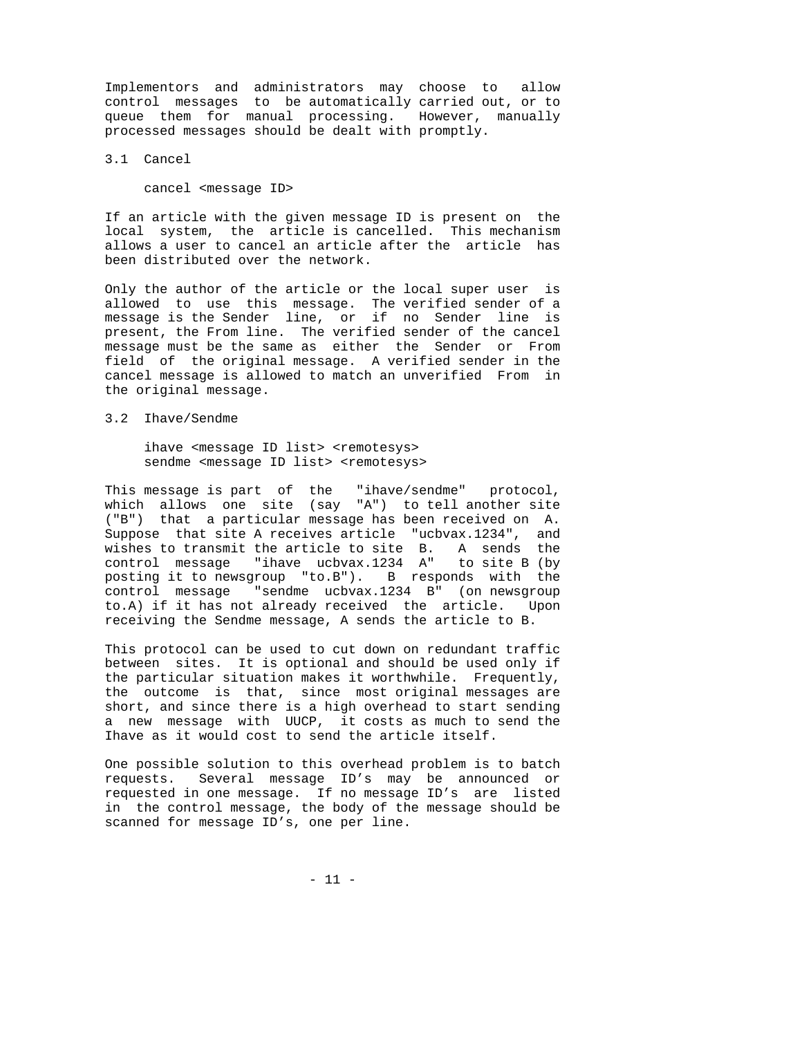Implementors and administrators may choose to allow control messages to be automatically carried out, or to queue them for manual processing. However, manually processed messages should be dealt with promptly.

3.1 Cancel

cancel <message ID>

If an article with the given message ID is present on the local system, the article is cancelled. This mechanism allows a user to cancel an article after the article has been distributed over the network.

Only the author of the article or the local super user is allowed to use this message. The verified sender of a message is the Sender line, or if no Sender line is present, the From line. The verified sender of the cancel message must be the same as either the Sender or From field of the original message. A verified sender in the cancel message is allowed to match an unverified From in the original message.

3.2 Ihave/Sendme

ihave <message ID list> <remotesys> sendme <message ID list> <remotesys>

This message is part of the "ihave/sendme" protocol, which allows one site (say "A") to tell another site ("B") that a particular message has been received on A. Suppose that site A receives article "ucbvax.1234", and wishes to transmit the article to site B. A sends the control message "ihave ucbvax.1234 A" to site B (by posting it to newsgroup "to.B"). B responds with the control message "sendme ucbvax.1234 B" (on newsgroup to.A) if it has not already received the article. Upon receiving the Sendme message, A sends the article to B.

This protocol can be used to cut down on redundant traffic between sites. It is optional and should be used only if the particular situation makes it worthwhile. Frequently, the outcome is that, since most original messages are short, and since there is a high overhead to start sending a new message with UUCP, it costs as much to send the Ihave as it would cost to send the article itself.

One possible solution to this overhead problem is to batch requests. Several message ID's may be announced or requested in one message. If no message ID's are listed in the control message, the body of the message should be scanned for message ID's, one per line.

- 11 -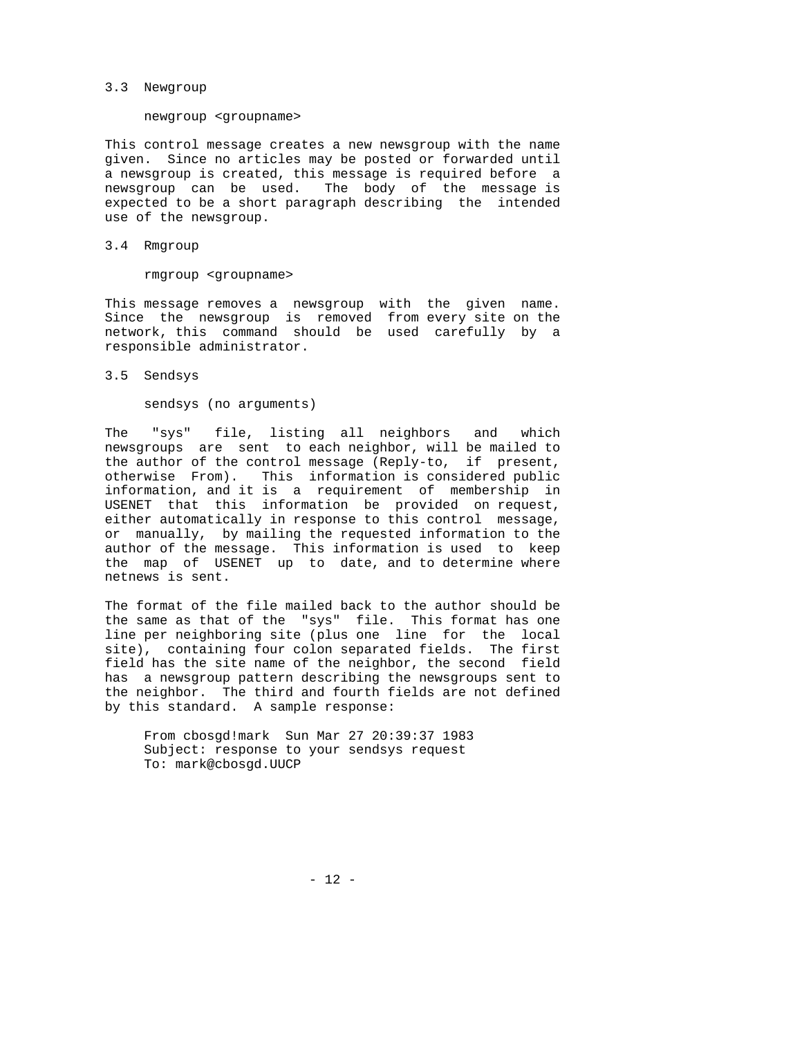### 3.3 Newgroup

#### newgroup <groupname>

This control message creates a new newsgroup with the name given. Since no articles may be posted or forwarded until a newsgroup is created, this message is required before a newsgroup can be used. The body of the message is expected to be a short paragraph describing the intended use of the newsgroup.

# 3.4 Rmgroup

rmgroup <groupname>

This message removes a newsgroup with the given name. Since the newsgroup is removed from every site on the network, this command should be used carefully by a responsible administrator.

3.5 Sendsys

sendsys (no arguments)

The "sys" file, listing all neighbors and which newsgroups are sent to each neighbor, will be mailed to the author of the control message (Reply-to, if present, otherwise From). This information is considered public information, and it is a requirement of membership in USENET that this information be provided on request, either automatically in response to this control message, or manually, by mailing the requested information to the author of the message. This information is used to keep the map of USENET up to date, and to determine where netnews is sent.

The format of the file mailed back to the author should be the same as that of the "sys" file. This format has one line per neighboring site (plus one line for the local site), containing four colon separated fields. The first field has the site name of the neighbor, the second field has a newsgroup pattern describing the newsgroups sent to the neighbor. The third and fourth fields are not defined by this standard. A sample response:

 From cbosgd!mark Sun Mar 27 20:39:37 1983 Subject: response to your sendsys request To: mark@cbosgd.UUCP

- 12 -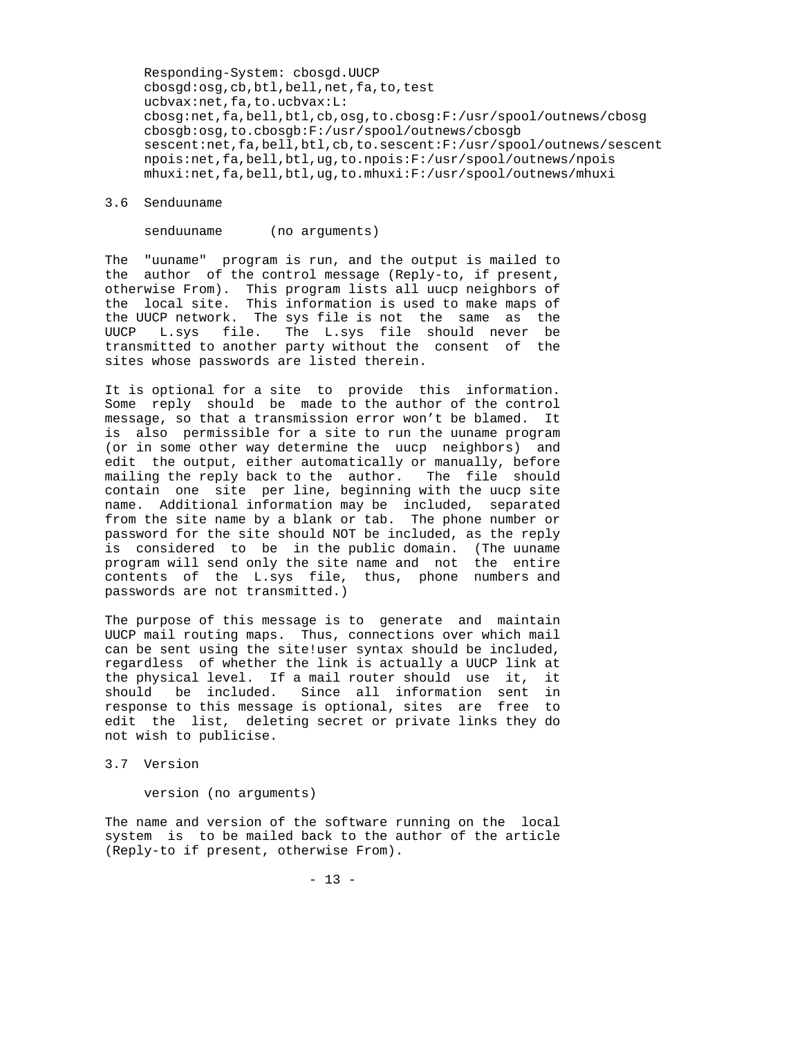Responding-System: cbosgd.UUCP cbosgd:osg,cb,btl,bell,net,fa,to,test ucbvax:net,fa,to.ucbvax:L: cbosg:net,fa,bell,btl,cb,osg,to.cbosg:F:/usr/spool/outnews/cbosg cbosgb:osg,to.cbosgb:F:/usr/spool/outnews/cbosgb sescent:net,fa,bell,btl,cb,to.sescent:F:/usr/spool/outnews/sescent npois:net,fa,bell,btl,ug,to.npois:F:/usr/spool/outnews/npois mhuxi:net,fa,bell,btl,ug,to.mhuxi:F:/usr/spool/outnews/mhuxi

#### 3.6 Senduuname

senduuname (no arguments)

The "uuname" program is run, and the output is mailed to the author of the control message (Reply-to, if present, otherwise From). This program lists all uucp neighbors of the local site. This information is used to make maps of the UUCP network. The sys file is not the same as the UUCP L.sys file. The L.sys file should never be transmitted to another party without the consent of the sites whose passwords are listed therein.

It is optional for a site to provide this information. Some reply should be made to the author of the control message, so that a transmission error won't be blamed. It is also permissible for a site to run the uuname program (or in some other way determine the uucp neighbors) and edit the output, either automatically or manually, before mailing the reply back to the author. The file should contain one site per line, beginning with the uucp site name. Additional information may be included, separated from the site name by a blank or tab. The phone number or password for the site should NOT be included, as the reply is considered to be in the public domain. (The uuname program will send only the site name and not the entire contents of the L.sys file, thus, phone numbers and passwords are not transmitted.)

The purpose of this message is to generate and maintain UUCP mail routing maps. Thus, connections over which mail can be sent using the site!user syntax should be included, regardless of whether the link is actually a UUCP link at the physical level. If a mail router should use it, it should be included. Since all information sent in response to this message is optional, sites are free to edit the list, deleting secret or private links they do not wish to publicise.

3.7 Version

version (no arguments)

The name and version of the software running on the local system is to be mailed back to the author of the article (Reply-to if present, otherwise From).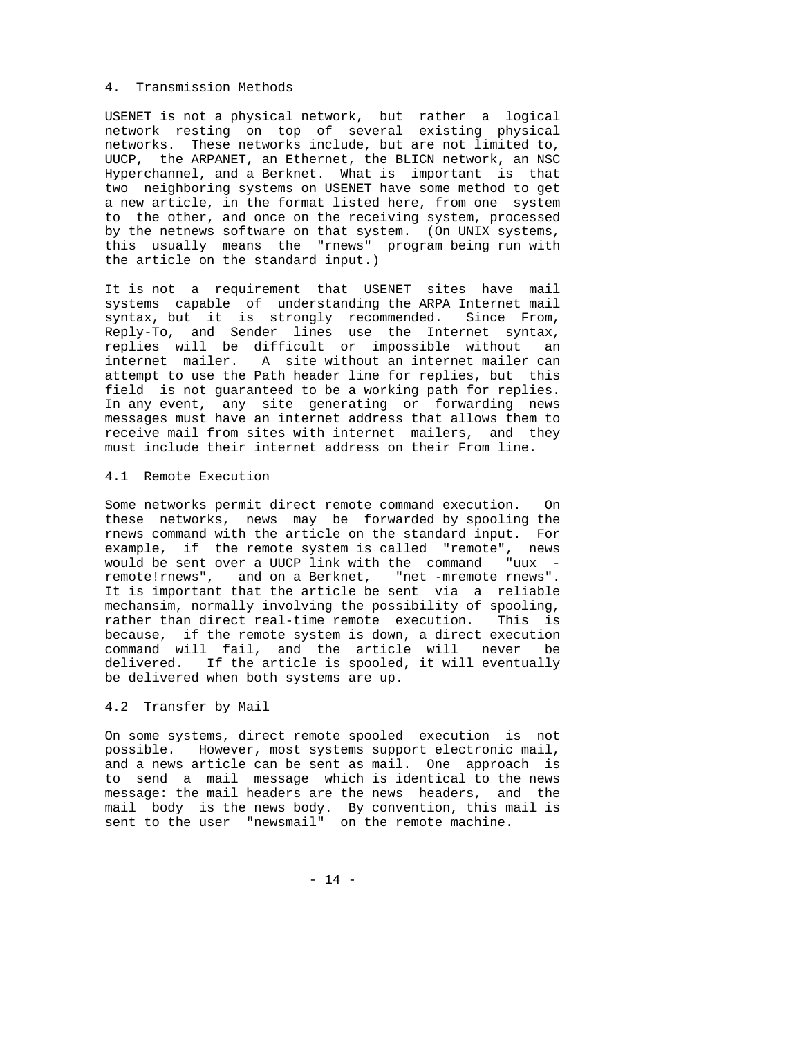### 4. Transmission Methods

USENET is not a physical network, but rather a logical network resting on top of several existing physical networks. These networks include, but are not limited to, UUCP, the ARPANET, an Ethernet, the BLICN network, an NSC Hyperchannel, and a Berknet. What is important is that two neighboring systems on USENET have some method to get a new article, in the format listed here, from one system to the other, and once on the receiving system, processed by the netnews software on that system. (On UNIX systems, this usually means the "rnews" program being run with the article on the standard input.)

It is not a requirement that USENET sites have mail systems capable of understanding the ARPA Internet mail syntax, but it is strongly recommended. Since From, Reply-To, and Sender lines use the Internet syntax, replies will be difficult or impossible without an internet mailer. A site without an internet mailer can attempt to use the Path header line for replies, but this field is not guaranteed to be a working path for replies. In any event, any site generating or forwarding news messages must have an internet address that allows them to receive mail from sites with internet mailers, and they must include their internet address on their From line.

# 4.1 Remote Execution

Some networks permit direct remote command execution. On these networks, news may be forwarded by spooling the rnews command with the article on the standard input. For example, if the remote system is called "remote", news would be sent over a UUCP link with the command "uux remote!rnews", and on a Berknet, "net -mremote rnews". It is important that the article be sent via a reliable mechansim, normally involving the possibility of spooling, rather than direct real-time remote execution. This is because, if the remote system is down, a direct execution command will fail, and the article will never be delivered. If the article is spooled, it will eventually be delivered when both systems are up.

### 4.2 Transfer by Mail

On some systems, direct remote spooled execution is not possible. However, most systems support electronic mail, and a news article can be sent as mail. One approach is to send a mail message which is identical to the news message: the mail headers are the news headers, and the mail body is the news body. By convention, this mail is sent to the user "newsmail" on the remote machine.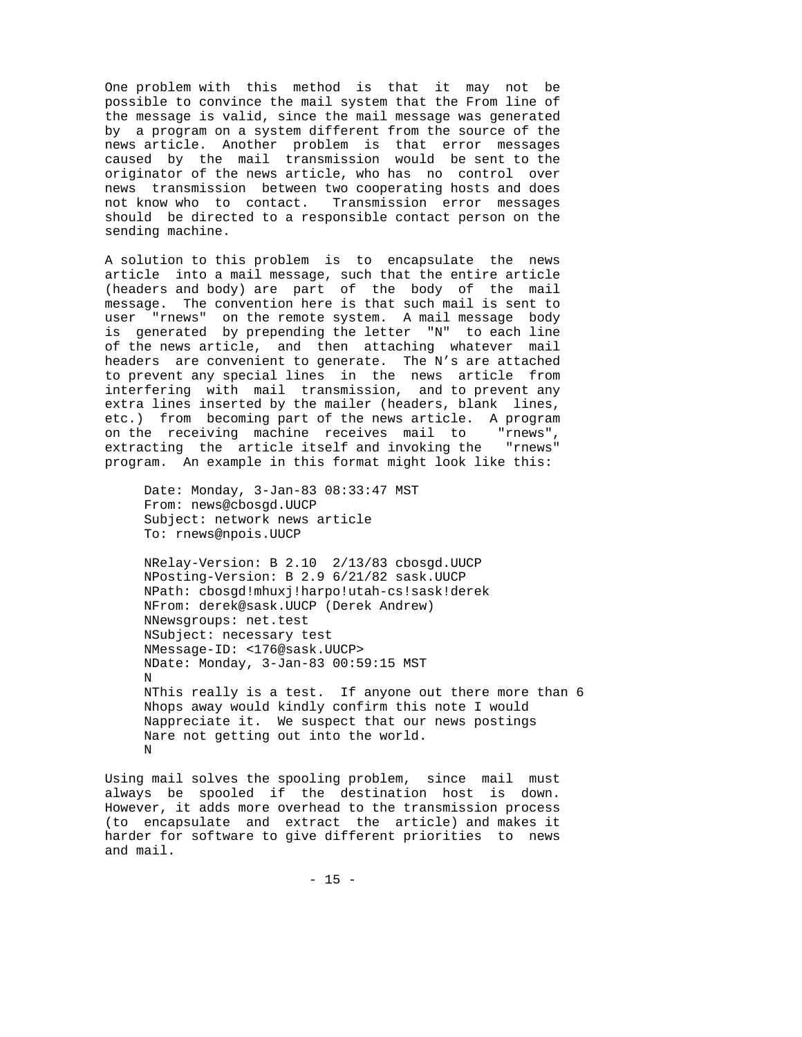One problem with this method is that it may not be possible to convince the mail system that the From line of the message is valid, since the mail message was generated by a program on a system different from the source of the news article. Another problem is that error messages caused by the mail transmission would be sent to the originator of the news article, who has no control over news transmission between two cooperating hosts and does not know who to contact. Transmission error messages should be directed to a responsible contact person on the sending machine.

A solution to this problem is to encapsulate the news article into a mail message, such that the entire article (headers and body) are part of the body of the mail message. The convention here is that such mail is sent to user "rnews" on the remote system. A mail message body is generated by prepending the letter "N" to each line of the news article, and then attaching whatever mail headers are convenient to generate. The N's are attached to prevent any special lines in the news article from interfering with mail transmission, and to prevent any extra lines inserted by the mailer (headers, blank lines, etc.) from becoming part of the news article. A program on the receiving machine receives mail to "rnews", extracting the article itself and invoking the "rnews" program. An example in this format might look like this:

 Date: Monday, 3-Jan-83 08:33:47 MST From: news@cbosgd.UUCP Subject: network news article To: rnews@npois.UUCP

 NRelay-Version: B 2.10 2/13/83 cbosgd.UUCP NPosting-Version: B 2.9 6/21/82 sask.UUCP NPath: cbosgd!mhuxj!harpo!utah-cs!sask!derek NFrom: derek@sask.UUCP (Derek Andrew) NNewsgroups: net.test NSubject: necessary test NMessage-ID: <176@sask.UUCP> NDate: Monday, 3-Jan-83 00:59:15 MST N NThis really is a test. If anyone out there more than 6 Nhops away would kindly confirm this note I would Nappreciate it. We suspect that our news postings Nare not getting out into the world. N

Using mail solves the spooling problem, since mail must always be spooled if the destination host is down. However, it adds more overhead to the transmission process (to encapsulate and extract the article) and makes it harder for software to give different priorities to news and mail.

- 15 -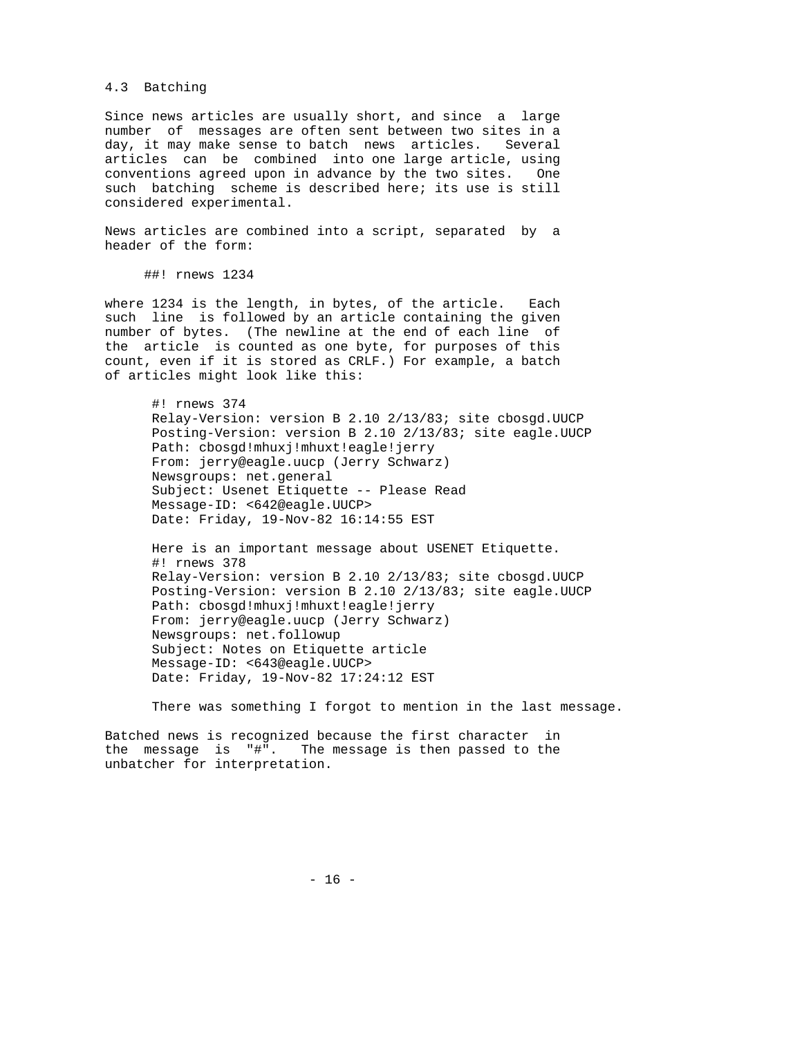### 4.3 Batching

Since news articles are usually short, and since a large number of messages are often sent between two sites in a day, it may make sense to batch news articles. Several articles can be combined into one large article, using conventions agreed upon in advance by the two sites. One such batching scheme is described here; its use is still considered experimental.

News articles are combined into a script, separated by a header of the form:

##! rnews 1234

where 1234 is the length, in bytes, of the article. Each such line is followed by an article containing the given number of bytes. (The newline at the end of each line of the article is counted as one byte, for purposes of this count, even if it is stored as CRLF.) For example, a batch of articles might look like this:

 #! rnews 374 Relay-Version: version B 2.10 2/13/83; site cbosgd.UUCP Posting-Version: version B 2.10 2/13/83; site eagle.UUCP Path: cbosgd!mhuxj!mhuxt!eagle!jerry From: jerry@eagle.uucp (Jerry Schwarz) Newsgroups: net.general Subject: Usenet Etiquette -- Please Read Message-ID: <642@eagle.UUCP> Date: Friday, 19-Nov-82 16:14:55 EST

 Here is an important message about USENET Etiquette. #! rnews 378 Relay-Version: version B 2.10 2/13/83; site cbosgd.UUCP Posting-Version: version B 2.10 2/13/83; site eagle.UUCP Path: cbosgd!mhuxj!mhuxt!eagle!jerry From: jerry@eagle.uucp (Jerry Schwarz) Newsgroups: net.followup Subject: Notes on Etiquette article Message-ID: <643@eagle.UUCP> Date: Friday, 19-Nov-82 17:24:12 EST

There was something I forgot to mention in the last message.

Batched news is recognized because the first character in the message is "#". The message is then passed to the unbatcher for interpretation.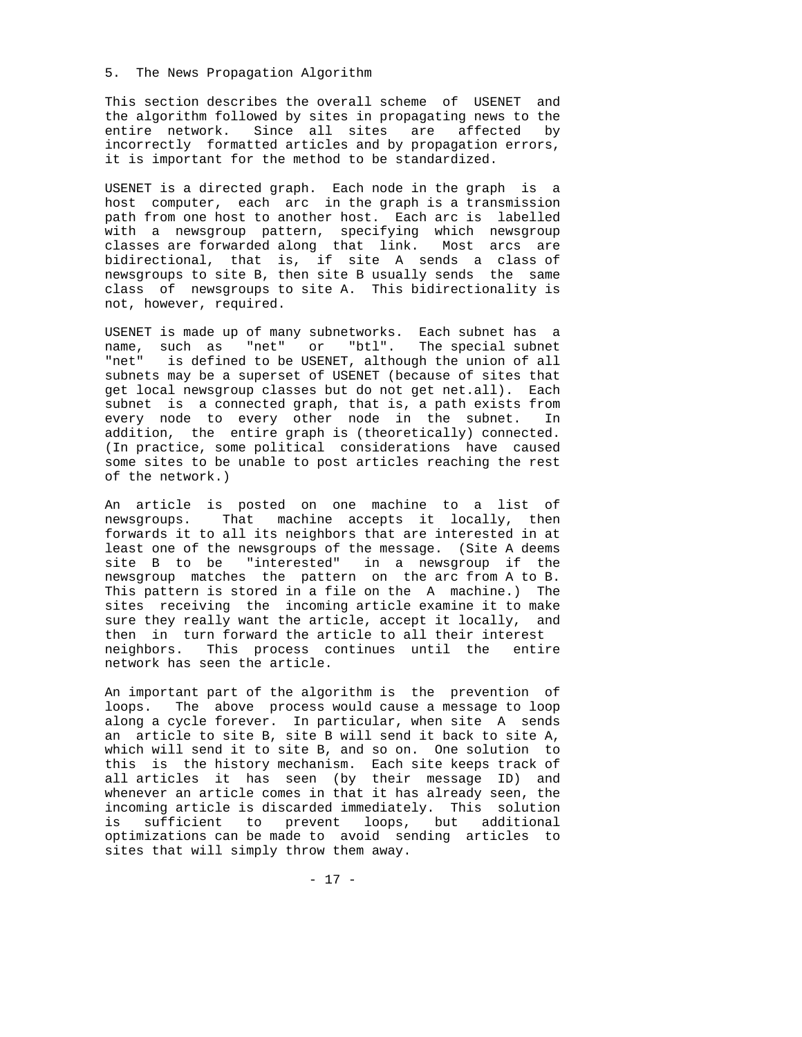### 5. The News Propagation Algorithm

This section describes the overall scheme of USENET and the algorithm followed by sites in propagating news to the entire network. Since all sites are affected by incorrectly formatted articles and by propagation errors, it is important for the method to be standardized.

USENET is a directed graph. Each node in the graph is a host computer, each arc in the graph is a transmission path from one host to another host. Each arc is labelled with a newsgroup pattern, specifying which newsgroup classes are forwarded along that link. Most arcs are bidirectional, that is, if site A sends a class of newsgroups to site B, then site B usually sends the same class of newsgroups to site A. This bidirectionality is not, however, required.

USENET is made up of many subnetworks. Each subnet has a name, such as "net" or "btl". The special subnet "net" is defined to be USENET, although the union of all subnets may be a superset of USENET (because of sites that get local newsgroup classes but do not get net.all). Each subnet is a connected graph, that is, a path exists from every node to every other node in the subnet. In addition, the entire graph is (theoretically) connected. (In practice, some political considerations have caused some sites to be unable to post articles reaching the rest of the network.)

An article is posted on one machine to a list of newsgroups. That machine accepts it locally, then forwards it to all its neighbors that are interested in at least one of the newsgroups of the message. (Site A deems site B to be "interested" in a newsgroup if the newsgroup matches the pattern on the arc from A to B. This pattern is stored in a file on the A machine.) The sites receiving the incoming article examine it to make sure they really want the article, accept it locally, and then in turn forward the article to all their interest neighbors. This process continues until the entire network has seen the article.

An important part of the algorithm is the prevention of loops. The above process would cause a message to loop along a cycle forever. In particular, when site A sends an article to site B, site B will send it back to site A, which will send it to site B, and so on. One solution to this is the history mechanism. Each site keeps track of all articles it has seen (by their message ID) and whenever an article comes in that it has already seen, the incoming article is discarded immediately. This solution is sufficient to prevent loops, but additional optimizations can be made to avoid sending articles to sites that will simply throw them away.